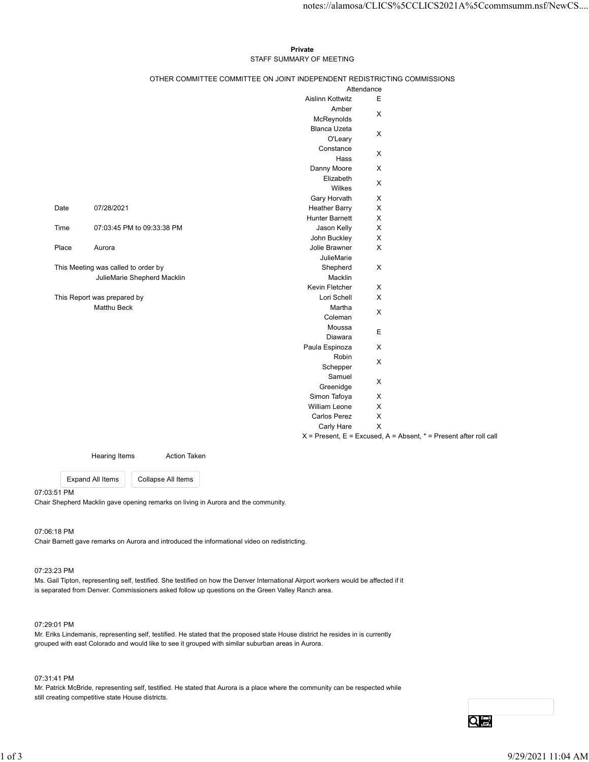# Private **Private** and *Private* and *Private* and *Private* and *Private* and *Private* and *Private* and *Private* and *Private* and *Private* and *Private* and *Private* and *Private* and *Private* and *Private* and *Pri* STAFF SUMMARY OF MEETING

|         |                                            |                                                                              |                                                                          |                            | notes://alamosa/CLICS%5CCLICS2021A%5Ccommsumm.nsf/NewCS                   |
|---------|--------------------------------------------|------------------------------------------------------------------------------|--------------------------------------------------------------------------|----------------------------|---------------------------------------------------------------------------|
|         |                                            |                                                                              |                                                                          |                            |                                                                           |
|         |                                            |                                                                              | Private                                                                  |                            |                                                                           |
|         |                                            |                                                                              | STAFF SUMMARY OF MEETING                                                 |                            |                                                                           |
|         |                                            |                                                                              | OTHER COMMITTEE COMMITTEE ON JOINT INDEPENDENT REDISTRICTING COMMISSIONS | Attendance                 |                                                                           |
|         |                                            |                                                                              | Aislinn Kottwitz                                                         | E                          |                                                                           |
|         |                                            |                                                                              | Amber                                                                    |                            |                                                                           |
|         |                                            |                                                                              | McReynolds                                                               | $\mathsf{X}$               |                                                                           |
|         |                                            |                                                                              | Blanca Uzeta                                                             | $\boldsymbol{\mathsf{X}}$  |                                                                           |
|         |                                            |                                                                              | O'Leary<br>Constance                                                     |                            |                                                                           |
|         |                                            |                                                                              | Hass                                                                     | $\mathsf X$                |                                                                           |
|         |                                            |                                                                              | Danny Moore                                                              | $\mathsf{X}$               |                                                                           |
|         |                                            |                                                                              | Elizabeth                                                                | X                          |                                                                           |
|         |                                            |                                                                              | Wilkes<br>Gary Horvath                                                   | $\mathsf{X}$               |                                                                           |
| Date    | 07/28/2021                                 |                                                                              | <b>Heather Barry</b>                                                     | $\mathsf{X}$               |                                                                           |
|         |                                            |                                                                              | Hunter Barnett                                                           | $\mathsf{X}$               |                                                                           |
| Time    |                                            | 07:03:45 PM to 09:33:38 PM                                                   | Jason Kelly                                                              | $\boldsymbol{\mathsf{X}}$  |                                                                           |
| Place   |                                            |                                                                              | John Buckley<br>Jolie Brawner                                            | $\mathsf X$<br>$\mathsf X$ |                                                                           |
|         | Aurora                                     |                                                                              | JulieMarie                                                               |                            |                                                                           |
|         | This Meeting was called to order by        |                                                                              | Shepherd                                                                 | $\mathsf X$                |                                                                           |
|         |                                            | JulieMarie Shepherd Macklin                                                  | Macklin                                                                  |                            |                                                                           |
|         |                                            |                                                                              | Kevin Fletcher                                                           | $\mathsf X$                |                                                                           |
|         | This Report was prepared by<br>Matthu Beck |                                                                              | Lori Schell<br>Martha                                                    | $\mathsf X$                |                                                                           |
|         |                                            |                                                                              | Coleman                                                                  | $\mathsf X$                |                                                                           |
|         |                                            |                                                                              | Moussa                                                                   | E                          |                                                                           |
|         |                                            |                                                                              | Diawara                                                                  | $\mathsf X$                |                                                                           |
|         |                                            |                                                                              | Paula Espinoza<br>Robin                                                  |                            |                                                                           |
|         |                                            |                                                                              | Schepper                                                                 | $\mathsf X$                |                                                                           |
|         |                                            |                                                                              | Samuel                                                                   | $\mathsf X$                |                                                                           |
|         |                                            |                                                                              | Greenidge                                                                |                            |                                                                           |
|         |                                            |                                                                              | Simon Tafoya<br>William Leone                                            | $\mathsf X$<br>$\mathsf X$ |                                                                           |
|         |                                            |                                                                              | Carlos Perez                                                             | $\mathsf X$                |                                                                           |
|         |                                            |                                                                              | Carly Hare                                                               | $\mathsf X$                |                                                                           |
|         |                                            |                                                                              |                                                                          |                            | $X =$ Present, $E =$ Excused, $A =$ Absent, $* =$ Present after roll call |
|         | <b>Hearing Items</b>                       | <b>Action Taken</b>                                                          |                                                                          |                            |                                                                           |
|         | <b>Expand All Items</b>                    | Collapse All Items                                                           |                                                                          |                            |                                                                           |
| 3:51 PM |                                            | Shepherd Macklin gave opening remarks on living in Aurora and the community. |                                                                          |                            |                                                                           |

07:03:51 PM Chair Shepherd Macklin gave opening remarks on living in Aurora and the community.

# 07:06:18 PM

Chair Barnett gave remarks on Aurora and introduced the informational video on redistricting.

# 07:23:23 PM

Ms. Gail Tipton, representing self, testified. She testified on how the Denver International Airport workers would be affected if it is separated from Denver. Commissioners asked follow up questions on the Green Valley Ranch area. 07:06:18 PM<br>Chair Barnett gave remarks on Aurora and introduced the informational video on redistricting.<br>
1 or 23:22 PM<br>
Ms. Call Tiplon, representing self, testified. She lestified on how the Denve International Altport

# 07:29:01 PM

Mr. Eriks Lindemanis, representing self, testified. He stated that the proposed state House district he resides in is currently grouped with east Colorado and would like to see it grouped with similar suburban areas in Aurora.

# 07:31:41 PM

Mr. Patrick McBride, representing self, testified. He stated that Aurora is a place where the community can be respected while still creating competitive state House districts.

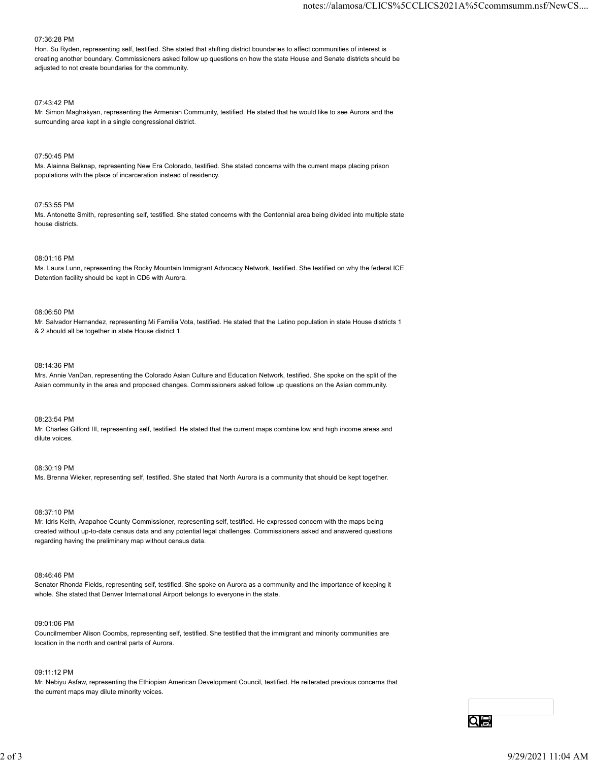#### 07:36:28 PM

Hon. Su Ryden, representing self, testified. She stated that shifting district boundaries to affect communities of interest is creating another boundary. Commissioners asked follow up questions on how the state House and Senate districts should be adjusted to not create boundaries for the community.

#### 07:43:42 PM

Mr. Simon Maghakyan, representing the Armenian Community, testified. He stated that he would like to see Aurora and the surrounding area kept in a single congressional district.

#### 07:50:45 PM

Ms. Alainna Belknap, representing New Era Colorado, testified. She stated concerns with the current maps placing prison populations with the place of incarceration instead of residency.

#### 07:53:55 PM

Ms. Antonette Smith, representing self, testified. She stated concerns with the Centennial area being divided into multiple state house districts.

## 08:01:16 PM

Ms. Laura Lunn, representing the Rocky Mountain Immigrant Advocacy Network, testified. She testified on why the federal ICE Detention facility should be kept in CD6 with Aurora.

## 08:06:50 PM

Mr. Salvador Hernandez, representing Mi Familia Vota, testified. He stated that the Latino population in state House districts 1 & 2 should all be together in state House district 1.

## 08:14:36 PM

Mrs. Annie VanDan, representing the Colorado Asian Culture and Education Network, testified. She spoke on the split of the Asian community in the area and proposed changes. Commissioners asked follow up questions on the Asian community.

## 08:23:54 PM

Mr. Charles Gilford III, representing self, testified. He stated that the current maps combine low and high income areas and dilute voices.

#### 08:30:19 PM

Ms. Brenna Wieker, representing self, testified. She stated that North Aurora is a community that should be kept together.

### 08:37:10 PM

Mr. Idris Keith, Arapahoe County Commissioner, representing self, testified. He expressed concern with the maps being created without up-to-date census data and any potential legal challenges. Commissioners asked and answered questions regarding having the preliminary map without census data. 06.37:10 PM<br>M. Idris Kolib, Arapahoo County Commissioner, representing self, testlied. He expressed concern with the maps being<br>created without up-bo-date census data and any colential legal challenges. Commissioners asked

#### 08:46:46 PM

Senator Rhonda Fields, representing self, testified. She spoke on Aurora as a community and the importance of keeping it whole. She stated that Denver International Airport belongs to everyone in the state.

#### 09:01:06 PM

Councilmember Alison Coombs, representing self, testified. She testified that the immigrant and minority communities are location in the north and central parts of Aurora.

## 09:11:12 PM

Mr. Nebiyu Asfaw, representing the Ethiopian American Development Council, testified. He reiterated previous concerns that the current maps may dilute minority voices.